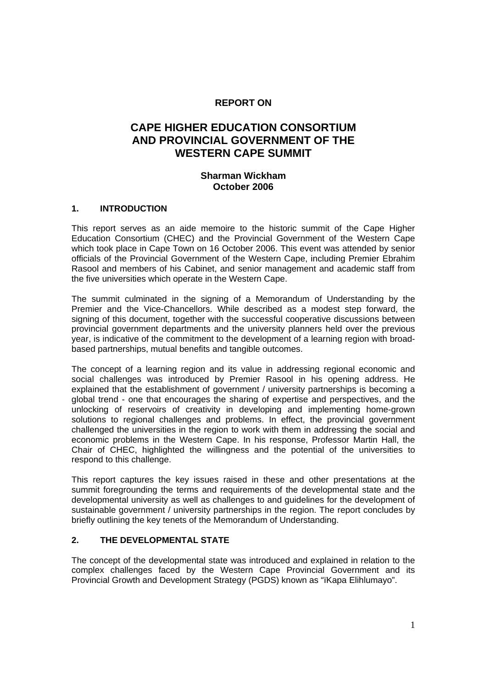# **REPORT ON**

# **CAPE HIGHER EDUCATION CONSORTIUM AND PROVINCIAL GOVERNMENT OF THE WESTERN CAPE SUMMIT**

## **Sharman Wickham October 2006**

#### **1. INTRODUCTION**

This report serves as an aide memoire to the historic summit of the Cape Higher Education Consortium (CHEC) and the Provincial Government of the Western Cape which took place in Cape Town on 16 October 2006. This event was attended by senior officials of the Provincial Government of the Western Cape, including Premier Ebrahim Rasool and members of his Cabinet, and senior management and academic staff from the five universities which operate in the Western Cape.

The summit culminated in the signing of a Memorandum of Understanding by the Premier and the Vice-Chancellors. While described as a modest step forward, the signing of this document, together with the successful cooperative discussions between provincial government departments and the university planners held over the previous year, is indicative of the commitment to the development of a learning region with broadbased partnerships, mutual benefits and tangible outcomes.

The concept of a learning region and its value in addressing regional economic and social challenges was introduced by Premier Rasool in his opening address. He explained that the establishment of government / university partnerships is becoming a global trend - one that encourages the sharing of expertise and perspectives, and the unlocking of reservoirs of creativity in developing and implementing home-grown solutions to regional challenges and problems. In effect, the provincial government challenged the universities in the region to work with them in addressing the social and economic problems in the Western Cape. In his response, Professor Martin Hall, the Chair of CHEC, highlighted the willingness and the potential of the universities to respond to this challenge.

This report captures the key issues raised in these and other presentations at the summit foregrounding the terms and requirements of the developmental state and the developmental university as well as challenges to and guidelines for the development of sustainable government / university partnerships in the region. The report concludes by briefly outlining the key tenets of the Memorandum of Understanding.

## **2. THE DEVELOPMENTAL STATE**

The concept of the developmental state was introduced and explained in relation to the complex challenges faced by the Western Cape Provincial Government and its Provincial Growth and Development Strategy (PGDS) known as "ïKapa Elihlumayo".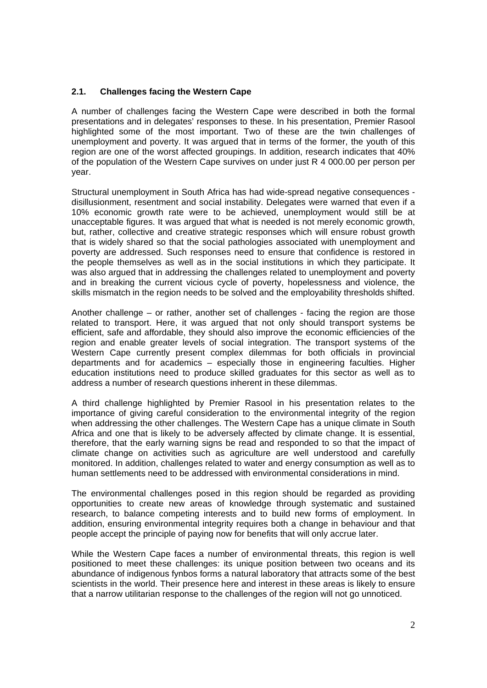## **2.1. Challenges facing the Western Cape**

A number of challenges facing the Western Cape were described in both the formal presentations and in delegates' responses to these. In his presentation, Premier Rasool highlighted some of the most important. Two of these are the twin challenges of unemployment and poverty. It was argued that in terms of the former, the youth of this region are one of the worst affected groupings. In addition, research indicates that 40% of the population of the Western Cape survives on under just R 4 000.00 per person per year.

Structural unemployment in South Africa has had wide-spread negative consequences disillusionment, resentment and social instability. Delegates were warned that even if a 10% economic growth rate were to be achieved, unemployment would still be at unacceptable figures. It was argued that what is needed is not merely economic growth, but, rather, collective and creative strategic responses which will ensure robust growth that is widely shared so that the social pathologies associated with unemployment and poverty are addressed. Such responses need to ensure that confidence is restored in the people themselves as well as in the social institutions in which they participate. It was also argued that in addressing the challenges related to unemployment and poverty and in breaking the current vicious cycle of poverty, hopelessness and violence, the skills mismatch in the region needs to be solved and the employability thresholds shifted.

Another challenge – or rather, another set of challenges - facing the region are those related to transport. Here, it was argued that not only should transport systems be efficient, safe and affordable, they should also improve the economic efficiencies of the region and enable greater levels of social integration. The transport systems of the Western Cape currently present complex dilemmas for both officials in provincial departments and for academics – especially those in engineering faculties. Higher education institutions need to produce skilled graduates for this sector as well as to address a number of research questions inherent in these dilemmas.

A third challenge highlighted by Premier Rasool in his presentation relates to the importance of giving careful consideration to the environmental integrity of the region when addressing the other challenges. The Western Cape has a unique climate in South Africa and one that is likely to be adversely affected by climate change. It is essential, therefore, that the early warning signs be read and responded to so that the impact of climate change on activities such as agriculture are well understood and carefully monitored. In addition, challenges related to water and energy consumption as well as to human settlements need to be addressed with environmental considerations in mind.

The environmental challenges posed in this region should be regarded as providing opportunities to create new areas of knowledge through systematic and sustained research, to balance competing interests and to build new forms of employment. In addition, ensuring environmental integrity requires both a change in behaviour and that people accept the principle of paying now for benefits that will only accrue later.

While the Western Cape faces a number of environmental threats, this region is well positioned to meet these challenges: its unique position between two oceans and its abundance of indigenous fynbos forms a natural laboratory that attracts some of the best scientists in the world. Their presence here and interest in these areas is likely to ensure that a narrow utilitarian response to the challenges of the region will not go unnoticed.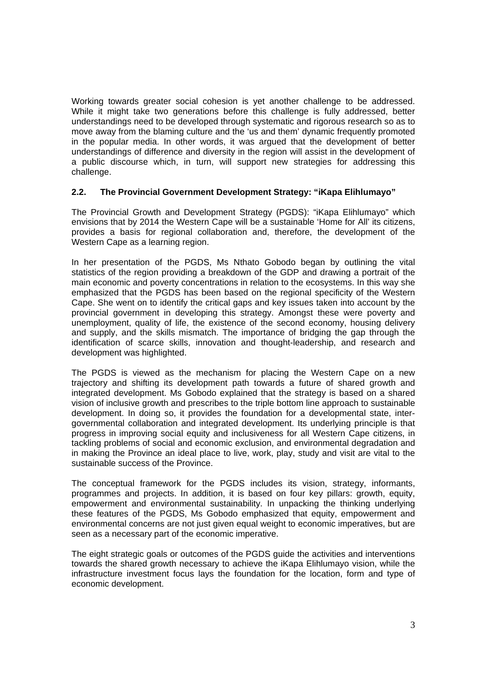Working towards greater social cohesion is yet another challenge to be addressed. While it might take two generations before this challenge is fully addressed, better understandings need to be developed through systematic and rigorous research so as to move away from the blaming culture and the 'us and them' dynamic frequently promoted in the popular media. In other words, it was argued that the development of better understandings of difference and diversity in the region will assist in the development of a public discourse which, in turn, will support new strategies for addressing this challenge.

#### **2.2. The Provincial Government Development Strategy: "iKapa Elihlumayo"**

The Provincial Growth and Development Strategy (PGDS): "iKapa Elihlumayo" which envisions that by 2014 the Western Cape will be a sustainable 'Home for All' its citizens, provides a basis for regional collaboration and, therefore, the development of the Western Cape as a learning region.

In her presentation of the PGDS, Ms Nthato Gobodo began by outlining the vital statistics of the region providing a breakdown of the GDP and drawing a portrait of the main economic and poverty concentrations in relation to the ecosystems. In this way she emphasized that the PGDS has been based on the regional specificity of the Western Cape. She went on to identify the critical gaps and key issues taken into account by the provincial government in developing this strategy. Amongst these were poverty and unemployment, quality of life, the existence of the second economy, housing delivery and supply, and the skills mismatch. The importance of bridging the gap through the identification of scarce skills, innovation and thought-leadership, and research and development was highlighted.

The PGDS is viewed as the mechanism for placing the Western Cape on a new trajectory and shifting its development path towards a future of shared growth and integrated development. Ms Gobodo explained that the strategy is based on a shared vision of inclusive growth and prescribes to the triple bottom line approach to sustainable development. In doing so, it provides the foundation for a developmental state, intergovernmental collaboration and integrated development. Its underlying principle is that progress in improving social equity and inclusiveness for all Western Cape citizens, in tackling problems of social and economic exclusion, and environmental degradation and in making the Province an ideal place to live, work, play, study and visit are vital to the sustainable success of the Province.

The conceptual framework for the PGDS includes its vision, strategy, informants, programmes and projects. In addition, it is based on four key pillars: growth, equity, empowerment and environmental sustainability. In unpacking the thinking underlying these features of the PGDS, Ms Gobodo emphasized that equity, empowerment and environmental concerns are not just given equal weight to economic imperatives, but are seen as a necessary part of the economic imperative.

The eight strategic goals or outcomes of the PGDS guide the activities and interventions towards the shared growth necessary to achieve the iKapa Elihlumayo vision, while the infrastructure investment focus lays the foundation for the location, form and type of economic development.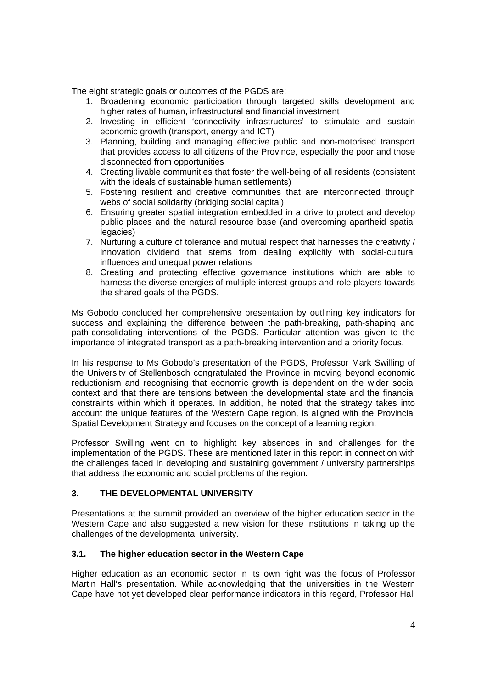The eight strategic goals or outcomes of the PGDS are:

- 1. Broadening economic participation through targeted skills development and higher rates of human, infrastructural and financial investment
- 2. Investing in efficient 'connectivity infrastructures' to stimulate and sustain economic growth (transport, energy and ICT)
- 3. Planning, building and managing effective public and non-motorised transport that provides access to all citizens of the Province, especially the poor and those disconnected from opportunities
- 4. Creating livable communities that foster the well-being of all residents (consistent with the ideals of sustainable human settlements)
- 5. Fostering resilient and creative communities that are interconnected through webs of social solidarity (bridging social capital)
- 6. Ensuring greater spatial integration embedded in a drive to protect and develop public places and the natural resource base (and overcoming apartheid spatial legacies)
- 7. Nurturing a culture of tolerance and mutual respect that harnesses the creativity / innovation dividend that stems from dealing explicitly with social-cultural influences and unequal power relations
- 8. Creating and protecting effective governance institutions which are able to harness the diverse energies of multiple interest groups and role players towards the shared goals of the PGDS.

Ms Gobodo concluded her comprehensive presentation by outlining key indicators for success and explaining the difference between the path-breaking, path-shaping and path-consolidating interventions of the PGDS. Particular attention was given to the importance of integrated transport as a path-breaking intervention and a priority focus.

In his response to Ms Gobodo's presentation of the PGDS, Professor Mark Swilling of the University of Stellenbosch congratulated the Province in moving beyond economic reductionism and recognising that economic growth is dependent on the wider social context and that there are tensions between the developmental state and the financial constraints within which it operates. In addition, he noted that the strategy takes into account the unique features of the Western Cape region, is aligned with the Provincial Spatial Development Strategy and focuses on the concept of a learning region.

Professor Swilling went on to highlight key absences in and challenges for the implementation of the PGDS. These are mentioned later in this report in connection with the challenges faced in developing and sustaining government / university partnerships that address the economic and social problems of the region.

## **3. THE DEVELOPMENTAL UNIVERSITY**

Presentations at the summit provided an overview of the higher education sector in the Western Cape and also suggested a new vision for these institutions in taking up the challenges of the developmental university.

## **3.1. The higher education sector in the Western Cape**

Higher education as an economic sector in its own right was the focus of Professor Martin Hall's presentation. While acknowledging that the universities in the Western Cape have not yet developed clear performance indicators in this regard, Professor Hall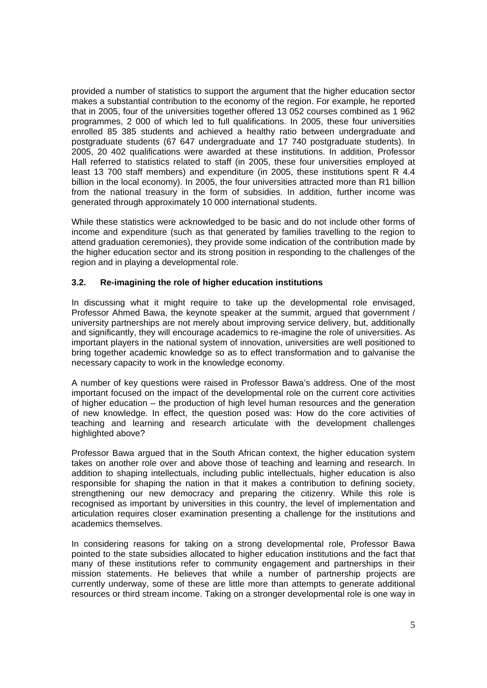provided a number of statistics to support the argument that the higher education sector makes a substantial contribution to the economy of the region. For example, he reported that in 2005, four of the universities together offered 13 052 courses combined as 1 962 programmes, 2 000 of which led to full qualifications. In 2005, these four universities enrolled 85 385 students and achieved a healthy ratio between undergraduate and postgraduate students (67 647 undergraduate and 17 740 postgraduate students). In 2005, 20 402 qualifications were awarded at these institutions. In addition, Professor Hall referred to statistics related to staff (in 2005, these four universities employed at least 13 700 staff members) and expenditure (in 2005, these institutions spent R 4.4 billion in the local economy). In 2005, the four universities attracted more than R1 billion from the national treasury in the form of subsidies. In addition, further income was generated through approximately 10 000 international students.

While these statistics were acknowledged to be basic and do not include other forms of income and expenditure (such as that generated by families travelling to the region to attend graduation ceremonies), they provide some indication of the contribution made by the higher education sector and its strong position in responding to the challenges of the region and in playing a developmental role.

## **3.2. Re-imagining the role of higher education institutions**

In discussing what it might require to take up the developmental role envisaged, Professor Ahmed Bawa, the keynote speaker at the summit, argued that government / university partnerships are not merely about improving service delivery, but, additionally and significantly, they will encourage academics to re-imagine the role of universities. As important players in the national system of innovation, universities are well positioned to bring together academic knowledge so as to effect transformation and to galvanise the necessary capacity to work in the knowledge economy.

A number of key questions were raised in Professor Bawa's address. One of the most important focused on the impact of the developmental role on the current core activities of higher education – the production of high level human resources and the generation of new knowledge. In effect, the question posed was: How do the core activities of teaching and learning and research articulate with the development challenges highlighted above?

Professor Bawa argued that in the South African context, the higher education system takes on another role over and above those of teaching and learning and research. In addition to shaping intellectuals, including public intellectuals, higher education is also responsible for shaping the nation in that it makes a contribution to defining society, strengthening our new democracy and preparing the citizenry. While this role is recognised as important by universities in this country, the level of implementation and articulation requires closer examination presenting a challenge for the institutions and academics themselves.

In considering reasons for taking on a strong developmental role, Professor Bawa pointed to the state subsidies allocated to higher education institutions and the fact that many of these institutions refer to community engagement and partnerships in their mission statements. He believes that while a number of partnership projects are currently underway, some of these are little more than attempts to generate additional resources or third stream income. Taking on a stronger developmental role is one way in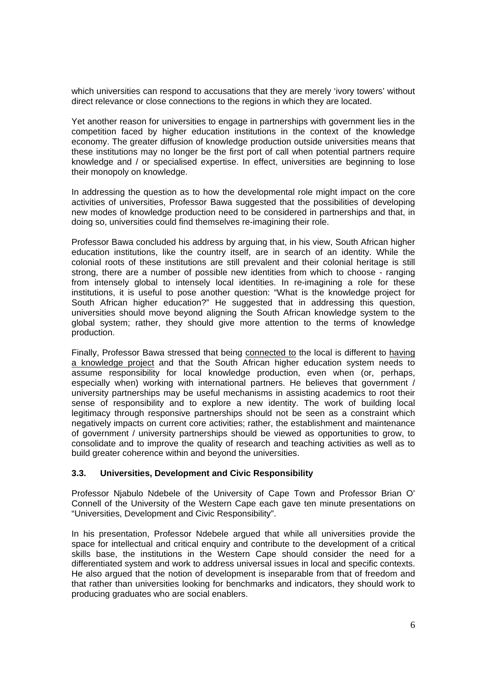which universities can respond to accusations that they are merely 'ivory towers' without direct relevance or close connections to the regions in which they are located.

Yet another reason for universities to engage in partnerships with government lies in the competition faced by higher education institutions in the context of the knowledge economy. The greater diffusion of knowledge production outside universities means that these institutions may no longer be the first port of call when potential partners require knowledge and / or specialised expertise. In effect, universities are beginning to lose their monopoly on knowledge.

In addressing the question as to how the developmental role might impact on the core activities of universities, Professor Bawa suggested that the possibilities of developing new modes of knowledge production need to be considered in partnerships and that, in doing so, universities could find themselves re-imagining their role.

Professor Bawa concluded his address by arguing that, in his view, South African higher education institutions, like the country itself, are in search of an identity. While the colonial roots of these institutions are still prevalent and their colonial heritage is still strong, there are a number of possible new identities from which to choose - ranging from intensely global to intensely local identities. In re-imagining a role for these institutions, it is useful to pose another question: "What is the knowledge project for South African higher education?" He suggested that in addressing this question, universities should move beyond aligning the South African knowledge system to the global system; rather, they should give more attention to the terms of knowledge production.

Finally, Professor Bawa stressed that being connected to the local is different to having a knowledge project and that the South African higher education system needs to assume responsibility for local knowledge production, even when (or, perhaps, especially when) working with international partners. He believes that government / university partnerships may be useful mechanisms in assisting academics to root their sense of responsibility and to explore a new identity. The work of building local legitimacy through responsive partnerships should not be seen as a constraint which negatively impacts on current core activities; rather, the establishment and maintenance of government / university partnerships should be viewed as opportunities to grow, to consolidate and to improve the quality of research and teaching activities as well as to build greater coherence within and beyond the universities.

## **3.3. Universities, Development and Civic Responsibility**

Professor Njabulo Ndebele of the University of Cape Town and Professor Brian O' Connell of the University of the Western Cape each gave ten minute presentations on "Universities, Development and Civic Responsibility".

In his presentation, Professor Ndebele argued that while all universities provide the space for intellectual and critical enquiry and contribute to the development of a critical skills base, the institutions in the Western Cape should consider the need for a differentiated system and work to address universal issues in local and specific contexts. He also argued that the notion of development is inseparable from that of freedom and that rather than universities looking for benchmarks and indicators, they should work to producing graduates who are social enablers.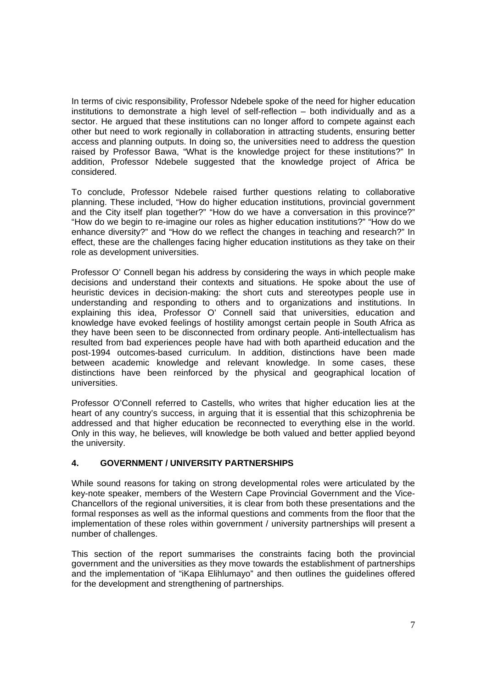In terms of civic responsibility, Professor Ndebele spoke of the need for higher education institutions to demonstrate a high level of self-reflection – both individually and as a sector. He argued that these institutions can no longer afford to compete against each other but need to work regionally in collaboration in attracting students, ensuring better access and planning outputs. In doing so, the universities need to address the question raised by Professor Bawa, "What is the knowledge project for these institutions?" In addition, Professor Ndebele suggested that the knowledge project of Africa be considered.

To conclude, Professor Ndebele raised further questions relating to collaborative planning. These included, "How do higher education institutions, provincial government and the City itself plan together?" "How do we have a conversation in this province?" "How do we begin to re-imagine our roles as higher education institutions?" "How do we enhance diversity?" and "How do we reflect the changes in teaching and research?" In effect, these are the challenges facing higher education institutions as they take on their role as development universities.

Professor O' Connell began his address by considering the ways in which people make decisions and understand their contexts and situations. He spoke about the use of heuristic devices in decision-making: the short cuts and stereotypes people use in understanding and responding to others and to organizations and institutions. In explaining this idea, Professor O' Connell said that universities, education and knowledge have evoked feelings of hostility amongst certain people in South Africa as they have been seen to be disconnected from ordinary people. Anti-intellectualism has resulted from bad experiences people have had with both apartheid education and the post-1994 outcomes-based curriculum. In addition, distinctions have been made between academic knowledge and relevant knowledge. In some cases, these distinctions have been reinforced by the physical and geographical location of universities.

Professor O'Connell referred to Castells, who writes that higher education lies at the heart of any country's success, in arguing that it is essential that this schizophrenia be addressed and that higher education be reconnected to everything else in the world. Only in this way, he believes, will knowledge be both valued and better applied beyond the university.

## **4. GOVERNMENT / UNIVERSITY PARTNERSHIPS**

While sound reasons for taking on strong developmental roles were articulated by the key-note speaker, members of the Western Cape Provincial Government and the Vice-Chancellors of the regional universities, it is clear from both these presentations and the formal responses as well as the informal questions and comments from the floor that the implementation of these roles within government / university partnerships will present a number of challenges.

This section of the report summarises the constraints facing both the provincial government and the universities as they move towards the establishment of partnerships and the implementation of "iKapa Elihlumayo" and then outlines the guidelines offered for the development and strengthening of partnerships.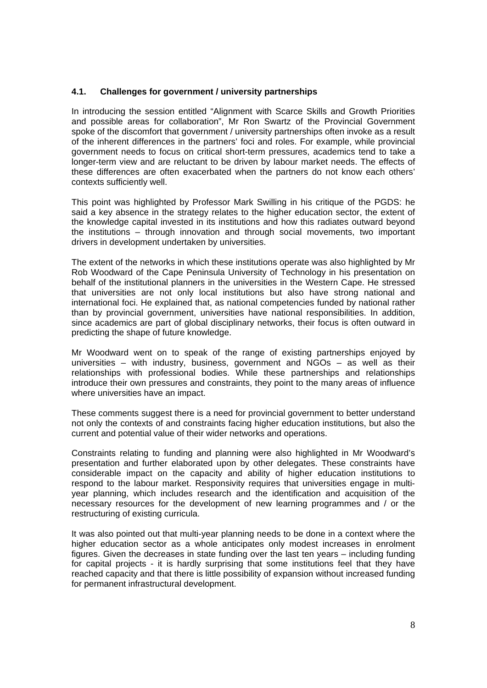#### **4.1. Challenges for government / university partnerships**

In introducing the session entitled "Alignment with Scarce Skills and Growth Priorities and possible areas for collaboration", Mr Ron Swartz of the Provincial Government spoke of the discomfort that government / university partnerships often invoke as a result of the inherent differences in the partners' foci and roles. For example, while provincial government needs to focus on critical short-term pressures, academics tend to take a longer-term view and are reluctant to be driven by labour market needs. The effects of these differences are often exacerbated when the partners do not know each others' contexts sufficiently well.

This point was highlighted by Professor Mark Swilling in his critique of the PGDS: he said a key absence in the strategy relates to the higher education sector, the extent of the knowledge capital invested in its institutions and how this radiates outward beyond the institutions – through innovation and through social movements, two important drivers in development undertaken by universities.

The extent of the networks in which these institutions operate was also highlighted by Mr Rob Woodward of the Cape Peninsula University of Technology in his presentation on behalf of the institutional planners in the universities in the Western Cape. He stressed that universities are not only local institutions but also have strong national and international foci. He explained that, as national competencies funded by national rather than by provincial government, universities have national responsibilities. In addition, since academics are part of global disciplinary networks, their focus is often outward in predicting the shape of future knowledge.

Mr Woodward went on to speak of the range of existing partnerships enjoyed by universities – with industry, business, government and NGOs – as well as their relationships with professional bodies. While these partnerships and relationships introduce their own pressures and constraints, they point to the many areas of influence where universities have an impact.

These comments suggest there is a need for provincial government to better understand not only the contexts of and constraints facing higher education institutions, but also the current and potential value of their wider networks and operations.

Constraints relating to funding and planning were also highlighted in Mr Woodward's presentation and further elaborated upon by other delegates. These constraints have considerable impact on the capacity and ability of higher education institutions to respond to the labour market. Responsivity requires that universities engage in multiyear planning, which includes research and the identification and acquisition of the necessary resources for the development of new learning programmes and / or the restructuring of existing curricula.

It was also pointed out that multi-year planning needs to be done in a context where the higher education sector as a whole anticipates only modest increases in enrolment figures. Given the decreases in state funding over the last ten years – including funding for capital projects - it is hardly surprising that some institutions feel that they have reached capacity and that there is little possibility of expansion without increased funding for permanent infrastructural development.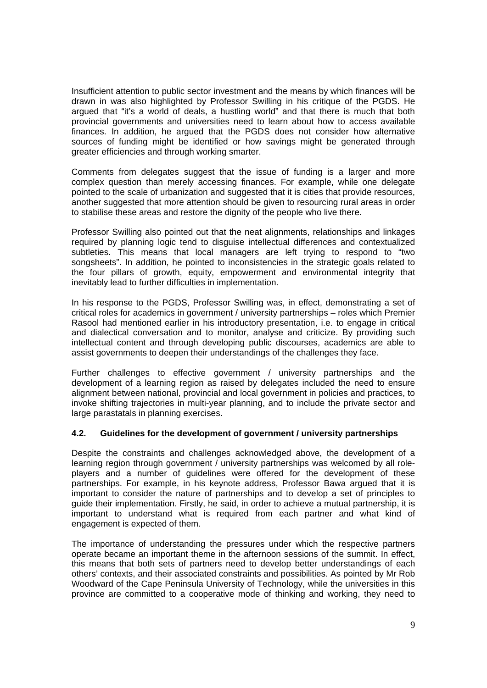Insufficient attention to public sector investment and the means by which finances will be drawn in was also highlighted by Professor Swilling in his critique of the PGDS. He argued that "it's a world of deals, a hustling world" and that there is much that both provincial governments and universities need to learn about how to access available finances. In addition, he argued that the PGDS does not consider how alternative sources of funding might be identified or how savings might be generated through greater efficiencies and through working smarter.

Comments from delegates suggest that the issue of funding is a larger and more complex question than merely accessing finances. For example, while one delegate pointed to the scale of urbanization and suggested that it is cities that provide resources, another suggested that more attention should be given to resourcing rural areas in order to stabilise these areas and restore the dignity of the people who live there.

Professor Swilling also pointed out that the neat alignments, relationships and linkages required by planning logic tend to disguise intellectual differences and contextualized subtleties. This means that local managers are left trying to respond to "two songsheets". In addition, he pointed to inconsistencies in the strategic goals related to the four pillars of growth, equity, empowerment and environmental integrity that inevitably lead to further difficulties in implementation.

In his response to the PGDS, Professor Swilling was, in effect, demonstrating a set of critical roles for academics in government / university partnerships – roles which Premier Rasool had mentioned earlier in his introductory presentation, i.e. to engage in critical and dialectical conversation and to monitor, analyse and criticize. By providing such intellectual content and through developing public discourses, academics are able to assist governments to deepen their understandings of the challenges they face.

Further challenges to effective government / university partnerships and the development of a learning region as raised by delegates included the need to ensure alignment between national, provincial and local government in policies and practices, to invoke shifting trajectories in multi-year planning, and to include the private sector and large parastatals in planning exercises.

## **4.2. Guidelines for the development of government / university partnerships**

Despite the constraints and challenges acknowledged above, the development of a learning region through government / university partnerships was welcomed by all roleplayers and a number of guidelines were offered for the development of these partnerships. For example, in his keynote address, Professor Bawa argued that it is important to consider the nature of partnerships and to develop a set of principles to guide their implementation. Firstly, he said, in order to achieve a mutual partnership, it is important to understand what is required from each partner and what kind of engagement is expected of them.

The importance of understanding the pressures under which the respective partners operate became an important theme in the afternoon sessions of the summit. In effect, this means that both sets of partners need to develop better understandings of each others' contexts, and their associated constraints and possibilities. As pointed by Mr Rob Woodward of the Cape Peninsula University of Technology, while the universities in this province are committed to a cooperative mode of thinking and working, they need to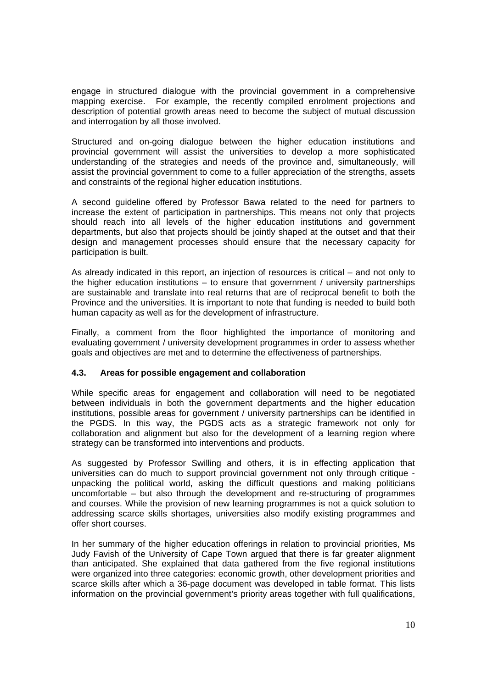engage in structured dialogue with the provincial government in a comprehensive mapping exercise. For example, the recently compiled enrolment projections and description of potential growth areas need to become the subject of mutual discussion and interrogation by all those involved.

Structured and on-going dialogue between the higher education institutions and provincial government will assist the universities to develop a more sophisticated understanding of the strategies and needs of the province and, simultaneously, will assist the provincial government to come to a fuller appreciation of the strengths, assets and constraints of the regional higher education institutions.

A second guideline offered by Professor Bawa related to the need for partners to increase the extent of participation in partnerships. This means not only that projects should reach into all levels of the higher education institutions and government departments, but also that projects should be jointly shaped at the outset and that their design and management processes should ensure that the necessary capacity for participation is built.

As already indicated in this report, an injection of resources is critical – and not only to the higher education institutions – to ensure that government / university partnerships are sustainable and translate into real returns that are of reciprocal benefit to both the Province and the universities. It is important to note that funding is needed to build both human capacity as well as for the development of infrastructure.

Finally, a comment from the floor highlighted the importance of monitoring and evaluating government / university development programmes in order to assess whether goals and objectives are met and to determine the effectiveness of partnerships.

## **4.3. Areas for possible engagement and collaboration**

While specific areas for engagement and collaboration will need to be negotiated between individuals in both the government departments and the higher education institutions, possible areas for government / university partnerships can be identified in the PGDS. In this way, the PGDS acts as a strategic framework not only for collaboration and alignment but also for the development of a learning region where strategy can be transformed into interventions and products.

As suggested by Professor Swilling and others, it is in effecting application that universities can do much to support provincial government not only through critique unpacking the political world, asking the difficult questions and making politicians uncomfortable – but also through the development and re-structuring of programmes and courses. While the provision of new learning programmes is not a quick solution to addressing scarce skills shortages, universities also modify existing programmes and offer short courses.

In her summary of the higher education offerings in relation to provincial priorities, Ms Judy Favish of the University of Cape Town argued that there is far greater alignment than anticipated. She explained that data gathered from the five regional institutions were organized into three categories: economic growth, other development priorities and scarce skills after which a 36-page document was developed in table format. This lists information on the provincial government's priority areas together with full qualifications,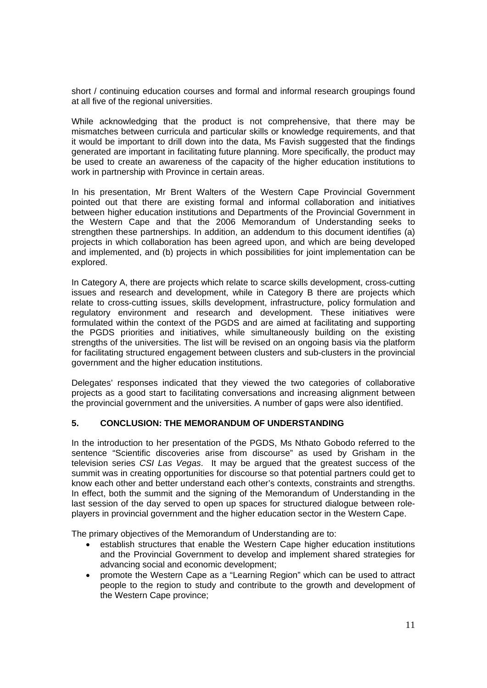short / continuing education courses and formal and informal research groupings found at all five of the regional universities.

While acknowledging that the product is not comprehensive, that there may be mismatches between curricula and particular skills or knowledge requirements, and that it would be important to drill down into the data, Ms Favish suggested that the findings generated are important in facilitating future planning. More specifically, the product may be used to create an awareness of the capacity of the higher education institutions to work in partnership with Province in certain areas.

In his presentation, Mr Brent Walters of the Western Cape Provincial Government pointed out that there are existing formal and informal collaboration and initiatives between higher education institutions and Departments of the Provincial Government in the Western Cape and that the 2006 Memorandum of Understanding seeks to strengthen these partnerships. In addition, an addendum to this document identifies (a) projects in which collaboration has been agreed upon, and which are being developed and implemented, and (b) projects in which possibilities for joint implementation can be explored.

In Category A, there are projects which relate to scarce skills development, cross-cutting issues and research and development, while in Category B there are projects which relate to cross-cutting issues, skills development, infrastructure, policy formulation and regulatory environment and research and development. These initiatives were formulated within the context of the PGDS and are aimed at facilitating and supporting the PGDS priorities and initiatives, while simultaneously building on the existing strengths of the universities. The list will be revised on an ongoing basis via the platform for facilitating structured engagement between clusters and sub-clusters in the provincial government and the higher education institutions.

Delegates' responses indicated that they viewed the two categories of collaborative projects as a good start to facilitating conversations and increasing alignment between the provincial government and the universities. A number of gaps were also identified.

#### **5. CONCLUSION: THE MEMORANDUM OF UNDERSTANDING**

In the introduction to her presentation of the PGDS, Ms Nthato Gobodo referred to the sentence "Scientific discoveries arise from discourse" as used by Grisham in the television series *CSI Las Vegas*. It may be argued that the greatest success of the summit was in creating opportunities for discourse so that potential partners could get to know each other and better understand each other's contexts, constraints and strengths. In effect, both the summit and the signing of the Memorandum of Understanding in the last session of the day served to open up spaces for structured dialogue between roleplayers in provincial government and the higher education sector in the Western Cape.

The primary objectives of the Memorandum of Understanding are to:

- establish structures that enable the Western Cape higher education institutions and the Provincial Government to develop and implement shared strategies for advancing social and economic development;
- promote the Western Cape as a "Learning Region" which can be used to attract people to the region to study and contribute to the growth and development of the Western Cape province;